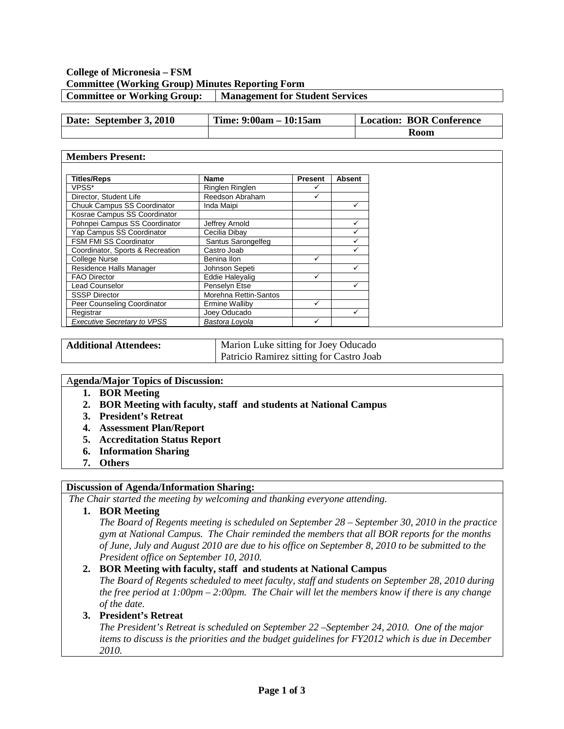## **College of Micronesia – FSM Committee (Working Group) Minutes Reporting Form Committee or Working Group: Management for Student Services**

| Date: September 3, 2010 | Time: $9:00am - 10:15am$ | <b>Location: BOR Conference</b> |
|-------------------------|--------------------------|---------------------------------|
|                         |                          | Room                            |

#### **Members Present:**

| <b>Titles/Reps</b>                 |                        | Name<br><b>Absent</b><br><b>Present</b> |  |
|------------------------------------|------------------------|-----------------------------------------|--|
| VPSS*                              | <b>Ringlen Ringlen</b> |                                         |  |
| Director, Student Life             | Reedson Abraham        |                                         |  |
| Chuuk Campus SS Coordinator        | Inda Maipi             |                                         |  |
| Kosrae Campus SS Coordinator       |                        |                                         |  |
| Pohnpei Campus SS Coordinator      | Jeffrey Arnold<br>✓    |                                         |  |
| Yap Campus SS Coordinator          | Cecilia Dibay          |                                         |  |
| <b>FSM FMI SS Coordinator</b>      | Santus Sarongelfeg     |                                         |  |
| Coordinator, Sports & Recreation   | Castro Joab            |                                         |  |
| College Nurse                      | Benina Ilon            |                                         |  |
| Residence Halls Manager            | Johnson Sepeti         |                                         |  |
| <b>FAO Director</b>                | Eddie Haleyalig        |                                         |  |
| <b>Lead Counselor</b>              | Penselyn Etse          |                                         |  |
| <b>SSSP Director</b>               | Morehna Rettin-Santos  |                                         |  |
| Peer Counseling Coordinator        | Ermine Walliby         |                                         |  |
| Registrar                          | Joey Oducado           |                                         |  |
| <b>Executive Secretary to VPSS</b> | Bastora Loyola         |                                         |  |

Additional Attendees: Marion Luke sitting for Joey Oducado Patricio Ramirez sitting for Castro Joab

#### A**genda/Major Topics of Discussion:**

- **1. BOR Meeting**
- **2. BOR Meeting with faculty, staff and students at National Campus**
- **3. President's Retreat**
- **4. Assessment Plan/Report**
- **5. Accreditation Status Report**
- **6. Information Sharing**
- **7. Others**

#### **Discussion of Agenda/Information Sharing:**

*The Chair started the meeting by welcoming and thanking everyone attending.* 

**1. BOR Meeting**

*The Board of Regents meeting is scheduled on September 28 – September 30, 2010 in the practice gym at National Campus. The Chair reminded the members that all BOR reports for the months of June, July and August 2010 are due to his office on September 8, 2010 to be submitted to the President office on September 10, 2010.*

#### **2. BOR Meeting with faculty, staff and students at National Campus**

*The Board of Regents scheduled to meet faculty, staff and students on September 28, 2010 during the free period at 1:00pm – 2:00pm. The Chair will let the members know if there is any change of the date.* 

#### **3. President's Retreat**

*The President's Retreat is scheduled on September 22 –September 24, 2010. One of the major items to discuss is the priorities and the budget guidelines for FY2012 which is due in December 2010.*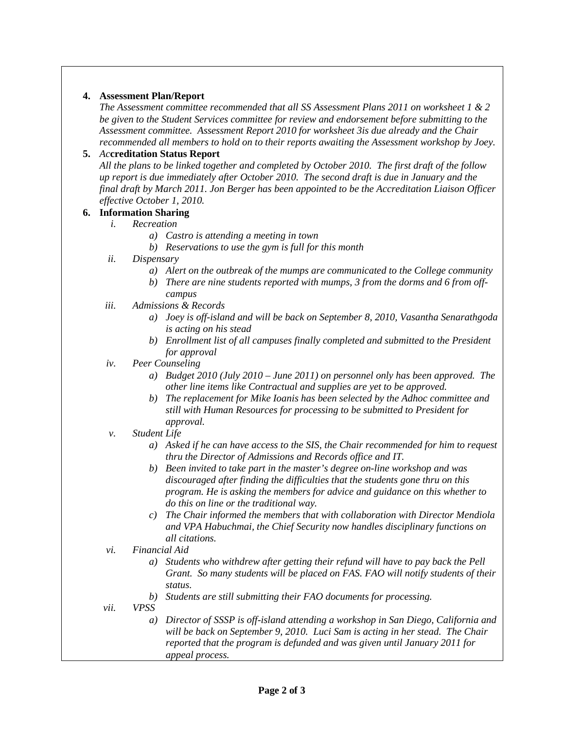### **4. Assessment Plan/Report**

*The Assessment committee recommended that all SS Assessment Plans 2011 on worksheet 1 & 2 be given to the Student Services committee for review and endorsement before submitting to the Assessment committee. Assessment Report 2010 for worksheet 3is due already and the Chair recommended all members to hold on to their reports awaiting the Assessment workshop by Joey.*

# **5.** *Ac***creditation Status Report**

*All the plans to be linked together and completed by October 2010. The first draft of the follow up report is due immediately after October 2010. The second draft is due in January and the final draft by March 2011. Jon Berger has been appointed to be the Accreditation Liaison Officer effective October 1, 2010.*

- **6. Information Sharing**
	- *i. Recreation*
		- *a) Castro is attending a meeting in town*
		- *b) Reservations to use the gym is full for this month*
	- *ii. Dispensary*
		- *a) Alert on the outbreak of the mumps are communicated to the College community*
		- *b) There are nine students reported with mumps, 3 from the dorms and 6 from offcampus*
	- *iii. Admissions & Records*
		- *a) Joey is off-island and will be back on September 8, 2010, Vasantha Senarathgoda is acting on his stead*
		- *b) Enrollment list of all campuses finally completed and submitted to the President for approval*
	- *iv. Peer Counseling*
		- *a) Budget 2010 (July 2010 – June 2011) on personnel only has been approved. The other line items like Contractual and supplies are yet to be approved.*
		- *b) The replacement for Mike Ioanis has been selected by the Adhoc committee and still with Human Resources for processing to be submitted to President for approval.*
	- *v. Student Life*
		- *a) Asked if he can have access to the SIS, the Chair recommended for him to request thru the Director of Admissions and Records office and IT.*
		- *b) Been invited to take part in the master's degree on-line workshop and was discouraged after finding the difficulties that the students gone thru on this program. He is asking the members for advice and guidance on this whether to do this on line or the traditional way.*
		- *c) The Chair informed the members that with collaboration with Director Mendiola and VPA Habuchmai, the Chief Security now handles disciplinary functions on all citations.*
	- *vi. Financial Aid*
		- *a) Students who withdrew after getting their refund will have to pay back the Pell Grant. So many students will be placed on FAS. FAO will notify students of their status.*
		- *b) Students are still submitting their FAO documents for processing.*
	- *vii. VPSS*
		- *a) Director of SSSP is off-island attending a workshop in San Diego, California and will be back on September 9, 2010. Luci Sam is acting in her stead. The Chair reported that the program is defunded and was given until January 2011 for appeal process.*